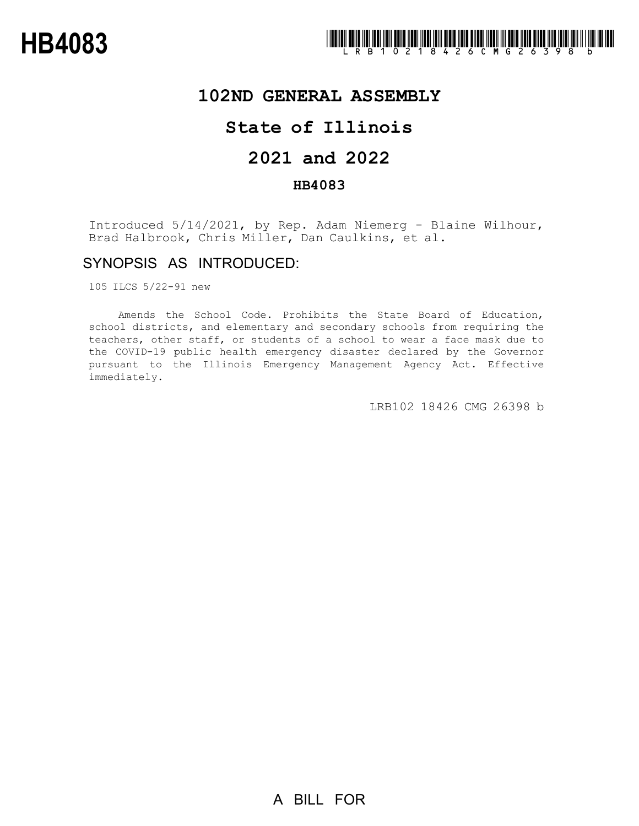

## **102ND GENERAL ASSEMBLY**

## **State of Illinois**

# **2021 and 2022**

### **HB4083**

Introduced 5/14/2021, by Rep. Adam Niemerg - Blaine Wilhour, Brad Halbrook, Chris Miller, Dan Caulkins, et al.

## SYNOPSIS AS INTRODUCED:

105 ILCS 5/22-91 new

Amends the School Code. Prohibits the State Board of Education, school districts, and elementary and secondary schools from requiring the teachers, other staff, or students of a school to wear a face mask due to the COVID-19 public health emergency disaster declared by the Governor pursuant to the Illinois Emergency Management Agency Act. Effective immediately.

LRB102 18426 CMG 26398 b